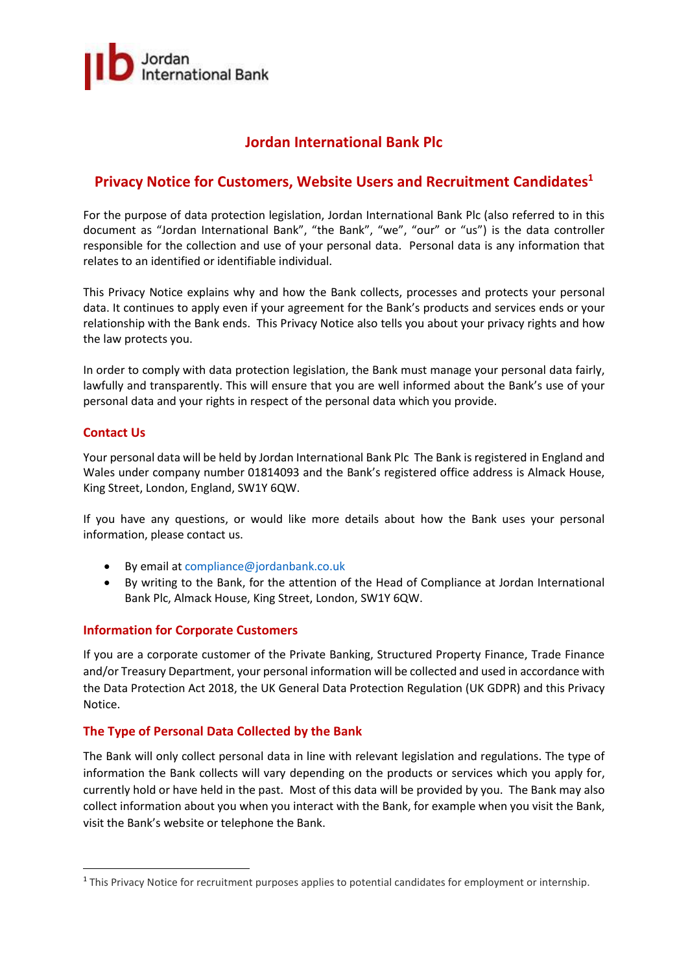

# **Jordan International Bank Plc**

# **Privacy Notice for Customers, Website Users and Recruitment Candidates<sup>1</sup>**

For the purpose of data protection legislation, Jordan International Bank Plc (also referred to in this document as "Jordan International Bank", "the Bank", "we", "our" or "us") is the data controller responsible for the collection and use of your personal data. Personal data is any information that relates to an identified or identifiable individual.

This Privacy Notice explains why and how the Bank collects, processes and protects your personal data. It continues to apply even if your agreement for the Bank's products and services ends or your relationship with the Bank ends. This Privacy Notice also tells you about your privacy rights and how the law protects you.

In order to comply with data protection legislation, the Bank must manage your personal data fairly, lawfully and transparently. This will ensure that you are well informed about the Bank's use of your personal data and your rights in respect of the personal data which you provide.

## **Contact Us**

**.** 

Your personal data will be held by Jordan International Bank Plc The Bank isregistered in England and Wales under company number 01814093 and the Bank's registered office address is Almack House, King Street, London, England, SW1Y 6QW.

If you have any questions, or would like more details about how the Bank uses your personal information, please contact us.

- By email at [compliance@jordanbank.co.uk](mailto:compliance@jordanbank.co.uk)
- By writing to the Bank, for the attention of the Head of Compliance at Jordan International Bank Plc, Almack House, King Street, London, SW1Y 6QW.

## **Information for Corporate Customers**

If you are a corporate customer of the Private Banking, Structured Property Finance, Trade Finance and/or Treasury Department, your personal information will be collected and used in accordance with the Data Protection Act 2018, the UK General Data Protection Regulation (UK GDPR) and this Privacy Notice.

## **The Type of Personal Data Collected by the Bank**

The Bank will only collect personal data in line with relevant legislation and regulations. The type of information the Bank collects will vary depending on the products or services which you apply for, currently hold or have held in the past. Most of this data will be provided by you. The Bank may also collect information about you when you interact with the Bank, for example when you visit the Bank, visit the Bank's website or telephone the Bank.

<sup>1</sup> This Privacy Notice for recruitment purposes applies to potential candidates for employment or internship.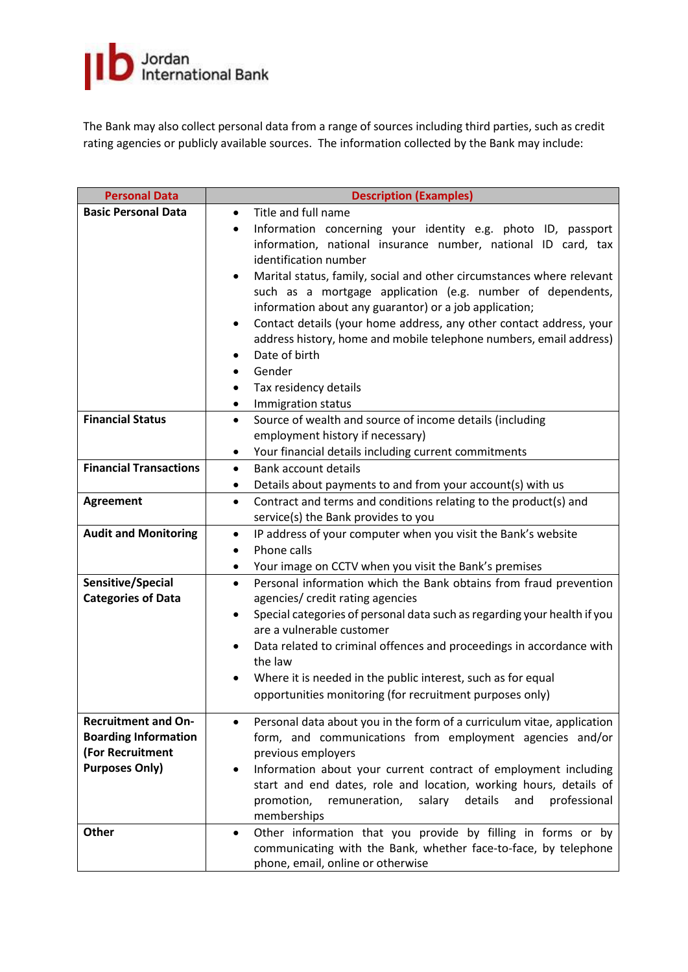

The Bank may also collect personal data from a range of sources including third parties, such as credit rating agencies or publicly available sources. The information collected by the Bank may include:

| <b>Personal Data</b>          | <b>Description (Examples)</b>                                                                    |  |  |
|-------------------------------|--------------------------------------------------------------------------------------------------|--|--|
| <b>Basic Personal Data</b>    | Title and full name<br>$\bullet$                                                                 |  |  |
|                               | Information concerning your identity e.g. photo ID, passport<br>$\bullet$                        |  |  |
|                               | information, national insurance number, national ID card, tax                                    |  |  |
|                               | identification number                                                                            |  |  |
|                               | Marital status, family, social and other circumstances where relevant<br>$\bullet$               |  |  |
|                               | such as a mortgage application (e.g. number of dependents,                                       |  |  |
|                               | information about any guarantor) or a job application;                                           |  |  |
|                               | Contact details (your home address, any other contact address, your<br>$\bullet$                 |  |  |
|                               | address history, home and mobile telephone numbers, email address)                               |  |  |
|                               | Date of birth<br>$\bullet$                                                                       |  |  |
|                               | Gender<br>$\bullet$                                                                              |  |  |
|                               | Tax residency details                                                                            |  |  |
| <b>Financial Status</b>       | Immigration status<br>٠<br>Source of wealth and source of income details (including<br>$\bullet$ |  |  |
|                               | employment history if necessary)                                                                 |  |  |
|                               | Your financial details including current commitments<br>٠                                        |  |  |
| <b>Financial Transactions</b> | <b>Bank account details</b><br>$\bullet$                                                         |  |  |
|                               | Details about payments to and from your account(s) with us<br>$\bullet$                          |  |  |
| <b>Agreement</b>              | Contract and terms and conditions relating to the product(s) and<br>$\bullet$                    |  |  |
|                               | service(s) the Bank provides to you                                                              |  |  |
| <b>Audit and Monitoring</b>   | IP address of your computer when you visit the Bank's website<br>$\bullet$                       |  |  |
|                               | Phone calls<br>$\bullet$                                                                         |  |  |
|                               | Your image on CCTV when you visit the Bank's premises<br>$\bullet$                               |  |  |
| Sensitive/Special             | Personal information which the Bank obtains from fraud prevention<br>$\bullet$                   |  |  |
| <b>Categories of Data</b>     | agencies/ credit rating agencies                                                                 |  |  |
|                               | Special categories of personal data such as regarding your health if you<br>$\bullet$            |  |  |
|                               | are a vulnerable customer                                                                        |  |  |
|                               | Data related to criminal offences and proceedings in accordance with<br>$\bullet$                |  |  |
|                               | the law                                                                                          |  |  |
|                               | Where it is needed in the public interest, such as for equal                                     |  |  |
|                               | opportunities monitoring (for recruitment purposes only)                                         |  |  |
| <b>Recruitment and On-</b>    | Personal data about you in the form of a curriculum vitae, application                           |  |  |
| <b>Boarding Information</b>   | form, and communications from employment agencies and/or                                         |  |  |
| (For Recruitment              | previous employers                                                                               |  |  |
| <b>Purposes Only)</b>         | Information about your current contract of employment including                                  |  |  |
|                               | start and end dates, role and location, working hours, details of                                |  |  |
|                               | salary<br>details<br>and<br>professional<br>promotion,<br>remuneration,                          |  |  |
|                               | memberships                                                                                      |  |  |
| <b>Other</b>                  | Other information that you provide by filling in forms or by                                     |  |  |
|                               | communicating with the Bank, whether face-to-face, by telephone                                  |  |  |
|                               | phone, email, online or otherwise                                                                |  |  |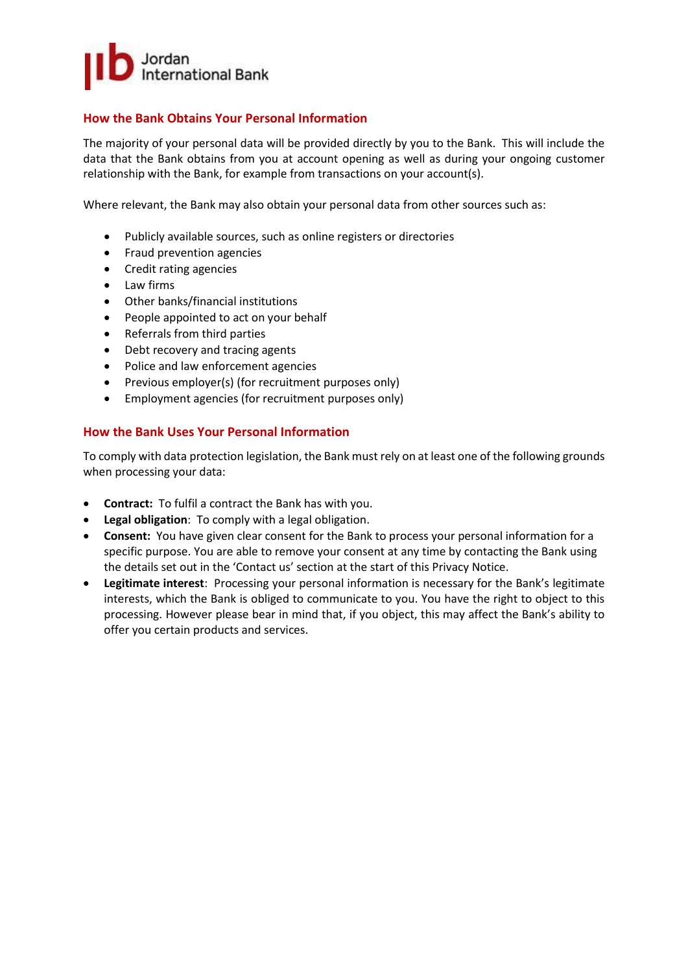

## **How the Bank Obtains Your Personal Information**

The majority of your personal data will be provided directly by you to the Bank. This will include the data that the Bank obtains from you at account opening as well as during your ongoing customer relationship with the Bank, for example from transactions on your account(s).

Where relevant, the Bank may also obtain your personal data from other sources such as:

- Publicly available sources, such as online registers or directories
- Fraud prevention agencies
- Credit rating agencies
- Law firms
- Other banks/financial institutions
- People appointed to act on your behalf
- Referrals from third parties
- Debt recovery and tracing agents
- Police and law enforcement agencies
- Previous employer(s) (for recruitment purposes only)
- Employment agencies (for recruitment purposes only)

#### **How the Bank Uses Your Personal Information**

To comply with data protection legislation, the Bank must rely on at least one of the following grounds when processing your data:

- **Contract:** To fulfil a contract the Bank has with you.
- **Legal obligation**: To comply with a legal obligation.
- **Consent:** You have given clear consent for the Bank to process your personal information for a specific purpose. You are able to remove your consent at any time by contacting the Bank using the details set out in the 'Contact us' section at the start of this Privacy Notice.
- **Legitimate interest**: Processing your personal information is necessary for the Bank's legitimate interests, which the Bank is obliged to communicate to you. You have the right to object to this processing. However please bear in mind that, if you object, this may affect the Bank's ability to offer you certain products and services.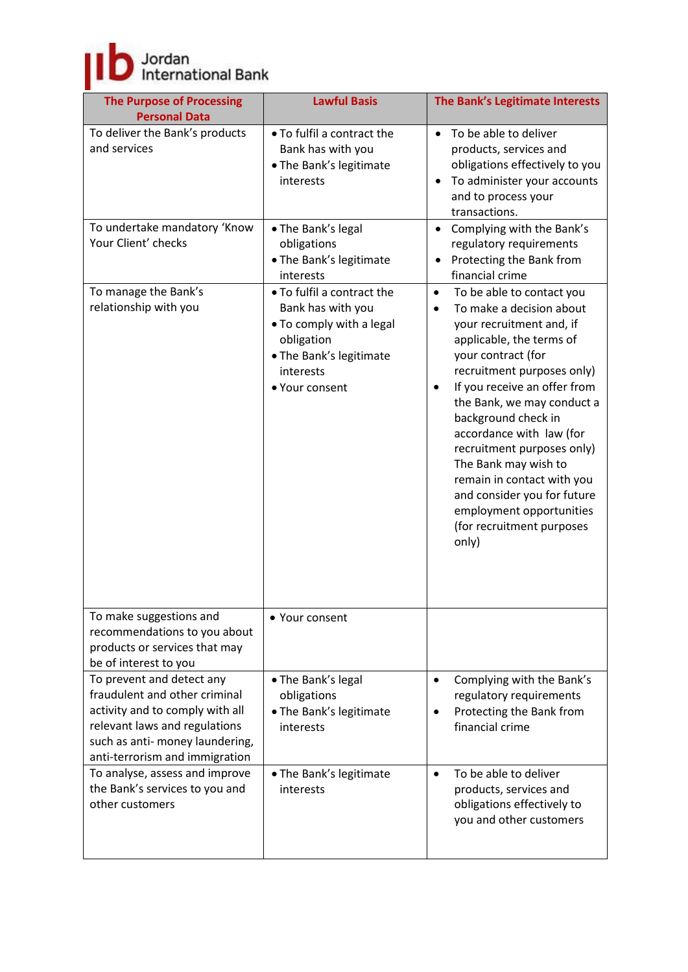Jordan<br>International Bank

| <b>The Purpose of Processing</b><br><b>Personal Data</b>                                                                                                                                            | <b>Lawful Basis</b>                                                                                                                                 | The Bank's Legitimate Interests                                                                                                                                                                                                                                                                                                                                                                                                                                                                                |
|-----------------------------------------------------------------------------------------------------------------------------------------------------------------------------------------------------|-----------------------------------------------------------------------------------------------------------------------------------------------------|----------------------------------------------------------------------------------------------------------------------------------------------------------------------------------------------------------------------------------------------------------------------------------------------------------------------------------------------------------------------------------------------------------------------------------------------------------------------------------------------------------------|
| To deliver the Bank's products<br>and services                                                                                                                                                      | • To fulfil a contract the<br>Bank has with you<br>• The Bank's legitimate<br>interests                                                             | To be able to deliver<br>$\bullet$<br>products, services and<br>obligations effectively to you<br>To administer your accounts<br>$\bullet$<br>and to process your<br>transactions.                                                                                                                                                                                                                                                                                                                             |
| To undertake mandatory 'Know<br>Your Client' checks                                                                                                                                                 | • The Bank's legal<br>obligations<br>• The Bank's legitimate<br>interests                                                                           | Complying with the Bank's<br>$\bullet$<br>regulatory requirements<br>Protecting the Bank from<br>$\bullet$<br>financial crime                                                                                                                                                                                                                                                                                                                                                                                  |
| To manage the Bank's<br>relationship with you                                                                                                                                                       | • To fulfil a contract the<br>Bank has with you<br>. To comply with a legal<br>obligation<br>• The Bank's legitimate<br>interests<br>• Your consent | To be able to contact you<br>$\bullet$<br>To make a decision about<br>$\bullet$<br>your recruitment and, if<br>applicable, the terms of<br>your contract (for<br>recruitment purposes only)<br>If you receive an offer from<br>$\bullet$<br>the Bank, we may conduct a<br>background check in<br>accordance with law (for<br>recruitment purposes only)<br>The Bank may wish to<br>remain in contact with you<br>and consider you for future<br>employment opportunities<br>(for recruitment purposes<br>only) |
| To make suggestions and<br>recommendations to you about<br>products or services that may<br>be of interest to you                                                                                   | • Your consent                                                                                                                                      |                                                                                                                                                                                                                                                                                                                                                                                                                                                                                                                |
| To prevent and detect any<br>fraudulent and other criminal<br>activity and to comply with all<br>relevant laws and regulations<br>such as anti- money laundering,<br>anti-terrorism and immigration | • The Bank's legal<br>obligations<br>. The Bank's legitimate<br>interests                                                                           | Complying with the Bank's<br>$\bullet$<br>regulatory requirements<br>Protecting the Bank from<br>٠<br>financial crime                                                                                                                                                                                                                                                                                                                                                                                          |
| To analyse, assess and improve<br>the Bank's services to you and<br>other customers                                                                                                                 | • The Bank's legitimate<br>interests                                                                                                                | To be able to deliver<br>$\bullet$<br>products, services and<br>obligations effectively to<br>you and other customers                                                                                                                                                                                                                                                                                                                                                                                          |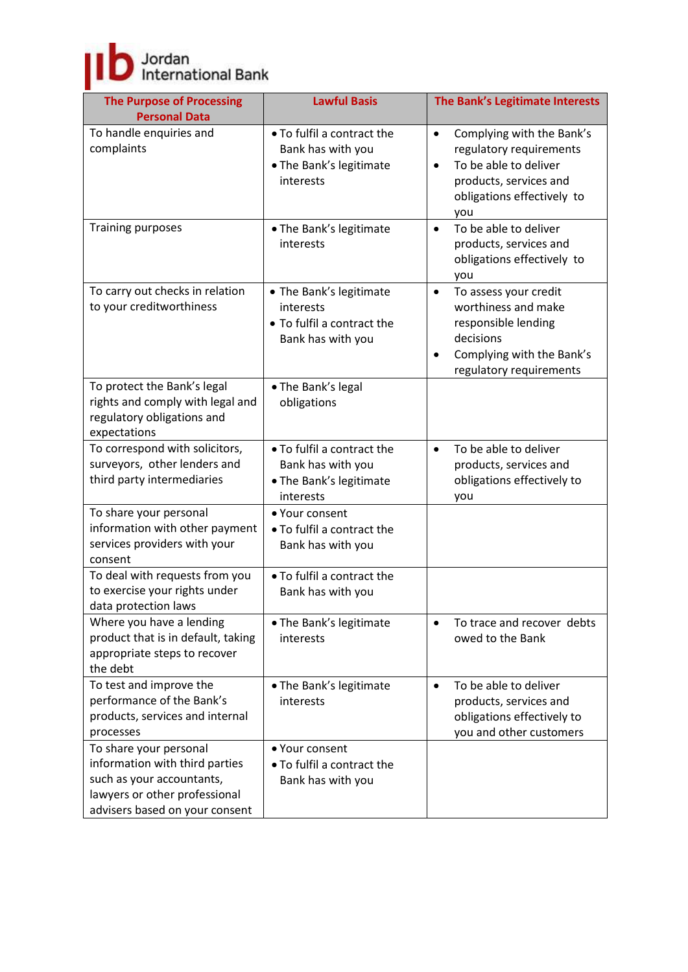# Jordan<br>International Bank

| <b>The Purpose of Processing</b><br><b>Personal Data</b>                                                                                                 | <b>Lawful Basis</b>                                                                     | The Bank's Legitimate Interests                                                                                                                                        |
|----------------------------------------------------------------------------------------------------------------------------------------------------------|-----------------------------------------------------------------------------------------|------------------------------------------------------------------------------------------------------------------------------------------------------------------------|
| To handle enquiries and<br>complaints                                                                                                                    | • To fulfil a contract the<br>Bank has with you<br>• The Bank's legitimate<br>interests | Complying with the Bank's<br>$\bullet$<br>regulatory requirements<br>To be able to deliver<br>$\bullet$<br>products, services and<br>obligations effectively to<br>you |
| <b>Training purposes</b>                                                                                                                                 | • The Bank's legitimate<br>interests                                                    | To be able to deliver<br>$\bullet$<br>products, services and<br>obligations effectively to<br>you                                                                      |
| To carry out checks in relation<br>to your creditworthiness                                                                                              | • The Bank's legitimate<br>interests<br>• To fulfil a contract the<br>Bank has with you | To assess your credit<br>$\bullet$<br>worthiness and make<br>responsible lending<br>decisions<br>Complying with the Bank's<br>$\bullet$<br>regulatory requirements     |
| To protect the Bank's legal<br>rights and comply with legal and<br>regulatory obligations and<br>expectations                                            | • The Bank's legal<br>obligations                                                       |                                                                                                                                                                        |
| To correspond with solicitors,<br>surveyors, other lenders and<br>third party intermediaries                                                             | • To fulfil a contract the<br>Bank has with you<br>• The Bank's legitimate<br>interests | To be able to deliver<br>$\bullet$<br>products, services and<br>obligations effectively to<br>you                                                                      |
| To share your personal<br>information with other payment<br>services providers with your<br>consent                                                      | • Your consent<br>• To fulfil a contract the<br>Bank has with you                       |                                                                                                                                                                        |
| To deal with requests from you<br>to exercise your rights under<br>data protection laws                                                                  | . To fulfil a contract the<br>Bank has with you                                         |                                                                                                                                                                        |
| Where you have a lending<br>product that is in default, taking<br>appropriate steps to recover<br>the debt                                               | • The Bank's legitimate<br>interests                                                    | To trace and recover debts<br>$\bullet$<br>owed to the Bank                                                                                                            |
| To test and improve the<br>performance of the Bank's<br>products, services and internal<br>processes                                                     | • The Bank's legitimate<br>interests                                                    | To be able to deliver<br>$\bullet$<br>products, services and<br>obligations effectively to<br>you and other customers                                                  |
| To share your personal<br>information with third parties<br>such as your accountants,<br>lawyers or other professional<br>advisers based on your consent | • Your consent<br>• To fulfil a contract the<br>Bank has with you                       |                                                                                                                                                                        |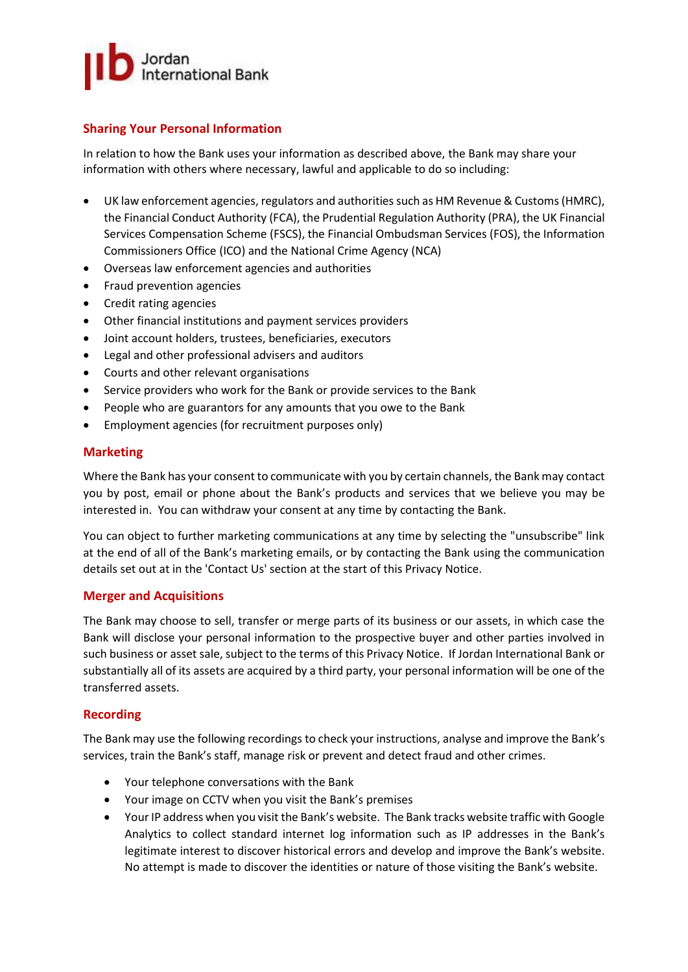

## **Sharing Your Personal Information**

In relation to how the Bank uses your information as described above, the Bank may share your information with others where necessary, lawful and applicable to do so including:

- UK law enforcement agencies, regulators and authorities such as HM Revenue & Customs(HMRC), the Financial Conduct Authority (FCA), the Prudential Regulation Authority (PRA), the UK Financial Services Compensation Scheme (FSCS), the Financial Ombudsman Services (FOS), the Information Commissioners Office (ICO) and the National Crime Agency (NCA)
- Overseas law enforcement agencies and authorities
- Fraud prevention agencies
- Credit rating agencies
- Other financial institutions and payment services providers
- Joint account holders, trustees, beneficiaries, executors
- Legal and other professional advisers and auditors
- Courts and other relevant organisations
- Service providers who work for the Bank or provide services to the Bank
- People who are guarantors for any amounts that you owe to the Bank
- Employment agencies (for recruitment purposes only)

#### **Marketing**

Where the Bank has your consent to communicate with you by certain channels, the Bank may contact you by post, email or phone about the Bank's products and services that we believe you may be interested in. You can withdraw your consent at any time by contacting the Bank.

You can object to further marketing communications at any time by selecting the "unsubscribe" link at the end of all of the Bank's marketing emails, or by contacting the Bank using the communication details set out at in the 'Contact Us' section at the start of this Privacy Notice.

#### **Merger and Acquisitions**

The Bank may choose to sell, transfer or merge parts of its business or our assets, in which case the Bank will disclose your personal information to the prospective buyer and other parties involved in such business or asset sale, subject to the terms of this Privacy Notice. If Jordan International Bank or substantially all of its assets are acquired by a third party, your personal information will be one of the transferred assets.

#### **Recording**

The Bank may use the following recordings to check your instructions, analyse and improve the Bank's services, train the Bank's staff, manage risk or prevent and detect fraud and other crimes.

- Your telephone conversations with the Bank
- Your image on CCTV when you visit the Bank's premises
- Your IP address when you visit the Bank's website. The Bank tracks website traffic with Google Analytics to collect standard internet log information such as IP addresses in the Bank's legitimate interest to discover historical errors and develop and improve the Bank's website. No attempt is made to discover the identities or nature of those visiting the Bank's website.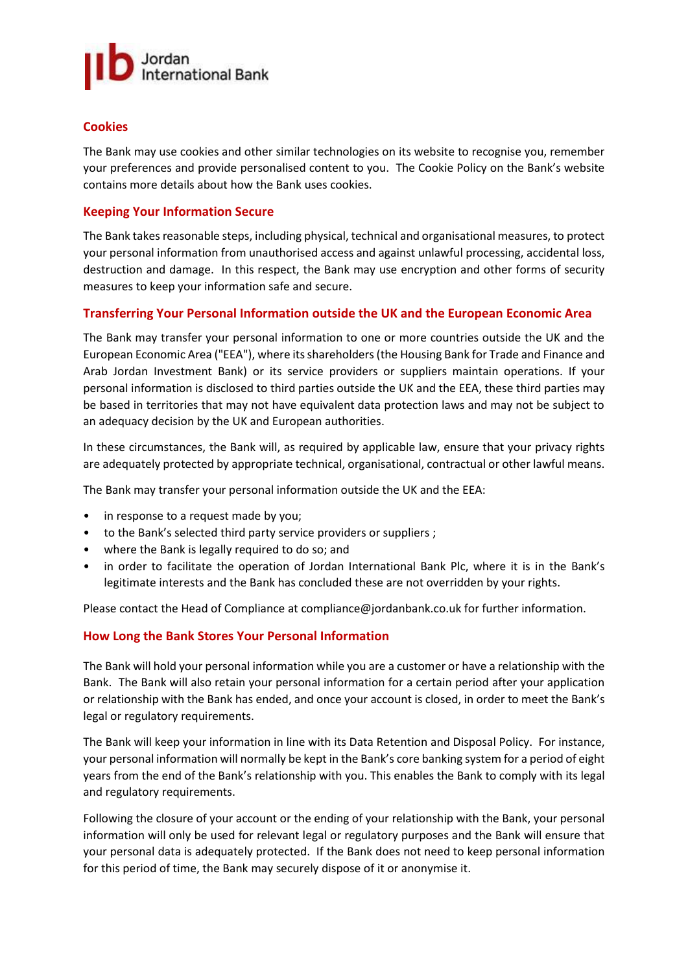

## **Cookies**

The Bank may use cookies and other similar technologies on its website to recognise you, remember your preferences and provide personalised content to you. The Cookie Policy on the Bank's website contains more details about how the Bank uses cookies.

#### **Keeping Your Information Secure**

The Bank takes reasonable steps, including physical, technical and organisational measures, to protect your personal information from unauthorised access and against unlawful processing, accidental loss, destruction and damage. In this respect, the Bank may use encryption and other forms of security measures to keep your information safe and secure.

#### **Transferring Your Personal Information outside the UK and the European Economic Area**

The Bank may transfer your personal information to one or more countries outside the UK and the European Economic Area ("EEA"), where itsshareholders (the Housing Bank for Trade and Finance and Arab Jordan Investment Bank) or its service providers or suppliers maintain operations. If your personal information is disclosed to third parties outside the UK and the EEA, these third parties may be based in territories that may not have equivalent data protection laws and may not be subject to an adequacy decision by the UK and European authorities.

In these circumstances, the Bank will, as required by applicable law, ensure that your privacy rights are adequately protected by appropriate technical, organisational, contractual or other lawful means.

The Bank may transfer your personal information outside the UK and the EEA:

- in response to a request made by you;
- to the Bank's selected third party service providers or suppliers ;
- where the Bank is legally required to do so; and
- in order to facilitate the operation of Jordan International Bank Plc, where it is in the Bank's legitimate interests and the Bank has concluded these are not overridden by your rights.

Please contact the Head of Compliance at compliance@jordanbank.co.uk for further information.

#### **How Long the Bank Stores Your Personal Information**

The Bank will hold your personal information while you are a customer or have a relationship with the Bank. The Bank will also retain your personal information for a certain period after your application or relationship with the Bank has ended, and once your account is closed, in order to meet the Bank's legal or regulatory requirements.

The Bank will keep your information in line with its Data Retention and Disposal Policy. For instance, your personal information will normally be kept in the Bank's core banking system for a period of eight years from the end of the Bank's relationship with you. This enables the Bank to comply with its legal and regulatory requirements.

Following the closure of your account or the ending of your relationship with the Bank, your personal information will only be used for relevant legal or regulatory purposes and the Bank will ensure that your personal data is adequately protected. If the Bank does not need to keep personal information for this period of time, the Bank may securely dispose of it or anonymise it.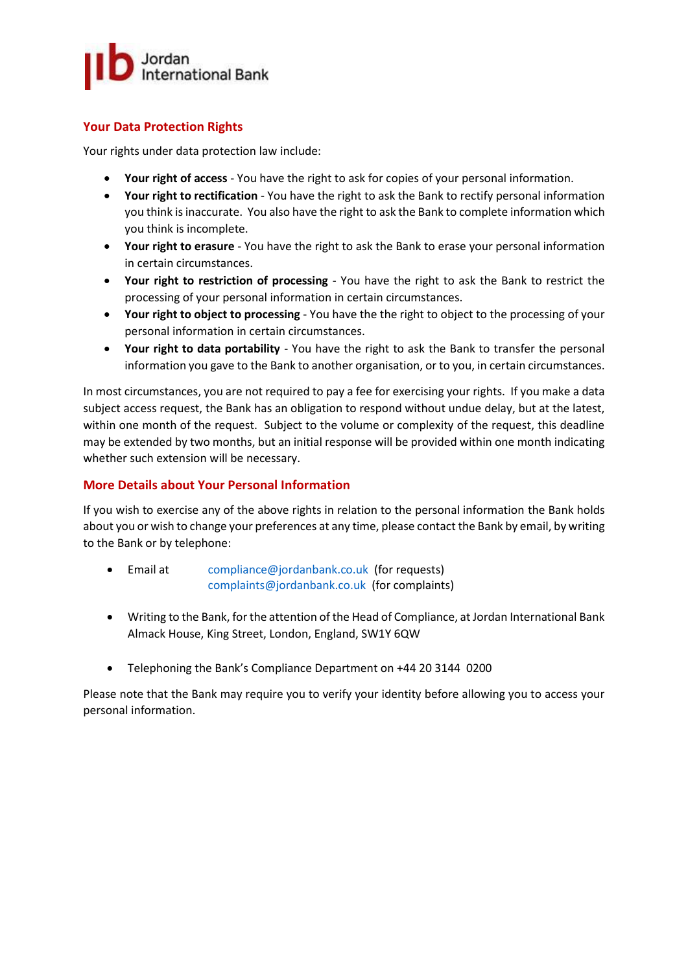

## **Your Data Protection Rights**

Your rights under data protection law include:

- **Your right of access** You have the right to ask for copies of your personal information.
- **Your right to rectification** You have the right to ask the Bank to rectify personal information you think is inaccurate. You also have the right to ask the Bank to complete information which you think is incomplete.
- **Your right to erasure** You have the right to ask the Bank to erase your personal information in certain circumstances.
- **Your right to restriction of processing** You have the right to ask the Bank to restrict the processing of your personal information in certain circumstances.
- **Your right to object to processing** You have the the right to object to the processing of your personal information in certain circumstances.
- **Your right to data portability** You have the right to ask the Bank to transfer the personal information you gave to the Bank to another organisation, or to you, in certain circumstances.

In most circumstances, you are not required to pay a fee for exercising your rights. If you make a data subject access request, the Bank has an obligation to respond without undue delay, but at the latest, within one month of the request. Subject to the volume or complexity of the request, this deadline may be extended by two months, but an initial response will be provided within one month indicating whether such extension will be necessary.

## **More Details about Your Personal Information**

If you wish to exercise any of the above rights in relation to the personal information the Bank holds about you or wish to change your preferences at any time, please contact the Bank by email, by writing to the Bank or by telephone:

- Email at [compliance@jordanbank.co.uk](mailto:compliance@jordanbank.co.uk) (for requests) [complaints@jordanbank.co.uk](mailto:complaints@jordanbank.co.uk) (for complaints)
- Writing to the Bank, for the attention of the Head of Compliance, at Jordan International Bank Almack House, King Street, London, England, SW1Y 6QW
- Telephoning the Bank's Compliance Department on +44 20 3144 0200

Please note that the Bank may require you to verify your identity before allowing you to access your personal information.